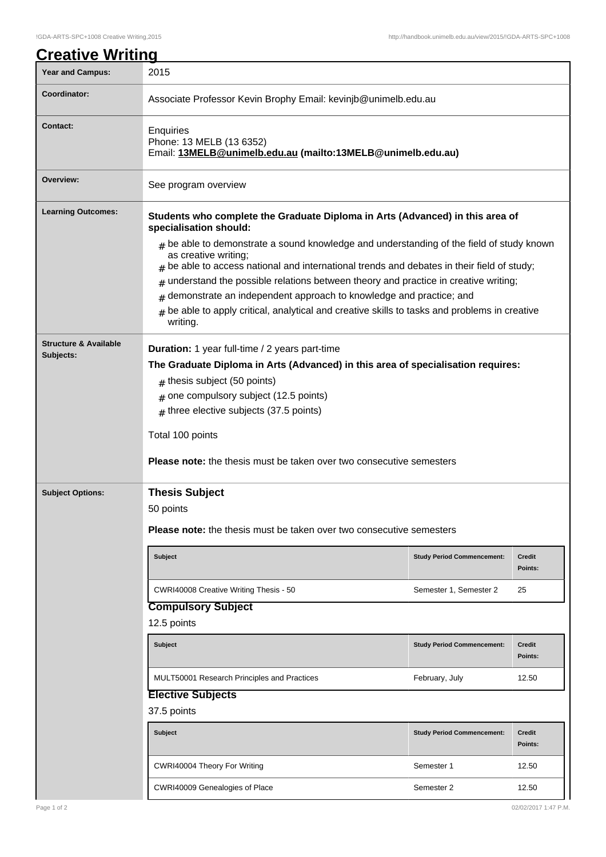| <u>Creative Writing</u>                       |                                                                                                                                                                                                                                                                                                                                                                                                                                                                                                                 |                                   |                          |  |
|-----------------------------------------------|-----------------------------------------------------------------------------------------------------------------------------------------------------------------------------------------------------------------------------------------------------------------------------------------------------------------------------------------------------------------------------------------------------------------------------------------------------------------------------------------------------------------|-----------------------------------|--------------------------|--|
| <b>Year and Campus:</b>                       | 2015                                                                                                                                                                                                                                                                                                                                                                                                                                                                                                            |                                   |                          |  |
| Coordinator:                                  | Associate Professor Kevin Brophy Email: kevinjb@unimelb.edu.au                                                                                                                                                                                                                                                                                                                                                                                                                                                  |                                   |                          |  |
| <b>Contact:</b>                               | <b>Enquiries</b><br>Phone: 13 MELB (13 6352)<br>Email: 13MELB@unimelb.edu.au (mailto:13MELB@unimelb.edu.au)                                                                                                                                                                                                                                                                                                                                                                                                     |                                   |                          |  |
| Overview:                                     | See program overview                                                                                                                                                                                                                                                                                                                                                                                                                                                                                            |                                   |                          |  |
| <b>Learning Outcomes:</b>                     | Students who complete the Graduate Diploma in Arts (Advanced) in this area of<br>specialisation should:                                                                                                                                                                                                                                                                                                                                                                                                         |                                   |                          |  |
|                                               | $#$ be able to demonstrate a sound knowledge and understanding of the field of study known<br>as creative writing;<br>$#$ be able to access national and international trends and debates in their field of study;<br>understand the possible relations between theory and practice in creative writing;<br>#<br>demonstrate an independent approach to knowledge and practice; and<br>#<br>be able to apply critical, analytical and creative skills to tasks and problems in creative<br>$\sharp$<br>writing. |                                   |                          |  |
| <b>Structure &amp; Available</b><br>Subjects: | Duration: 1 year full-time / 2 years part-time<br>The Graduate Diploma in Arts (Advanced) in this area of specialisation requires:<br>$#$ thesis subject (50 points)<br>one compulsory subject (12.5 points)<br>#<br>$#$ three elective subjects (37.5 points)<br>Total 100 points<br>Please note: the thesis must be taken over two consecutive semesters                                                                                                                                                      |                                   |                          |  |
| <b>Subject Options:</b>                       | <b>Thesis Subject</b><br>50 points<br><b>Please note:</b> the thesis must be taken over two consecutive semesters                                                                                                                                                                                                                                                                                                                                                                                               |                                   |                          |  |
|                                               |                                                                                                                                                                                                                                                                                                                                                                                                                                                                                                                 |                                   |                          |  |
|                                               | <b>Subject</b>                                                                                                                                                                                                                                                                                                                                                                                                                                                                                                  | <b>Study Period Commencement:</b> | <b>Credit</b><br>Points: |  |
|                                               | CWRI40008 Creative Writing Thesis - 50                                                                                                                                                                                                                                                                                                                                                                                                                                                                          | Semester 1, Semester 2            | 25                       |  |
|                                               | <b>Compulsory Subject</b><br>12.5 points                                                                                                                                                                                                                                                                                                                                                                                                                                                                        |                                   |                          |  |
|                                               | <b>Subject</b>                                                                                                                                                                                                                                                                                                                                                                                                                                                                                                  | <b>Study Period Commencement:</b> | <b>Credit</b><br>Points: |  |
|                                               | MULT50001 Research Principles and Practices                                                                                                                                                                                                                                                                                                                                                                                                                                                                     | February, July                    | 12.50                    |  |
|                                               | <b>Elective Subjects</b><br>37.5 points                                                                                                                                                                                                                                                                                                                                                                                                                                                                         |                                   |                          |  |
|                                               | <b>Subject</b>                                                                                                                                                                                                                                                                                                                                                                                                                                                                                                  | <b>Study Period Commencement:</b> | <b>Credit</b><br>Points: |  |
|                                               |                                                                                                                                                                                                                                                                                                                                                                                                                                                                                                                 |                                   |                          |  |

CWRI40004 Theory For Writing **Semester 1** 12.50

CWRI40009 Genealogies of Place Semester 2 12.50